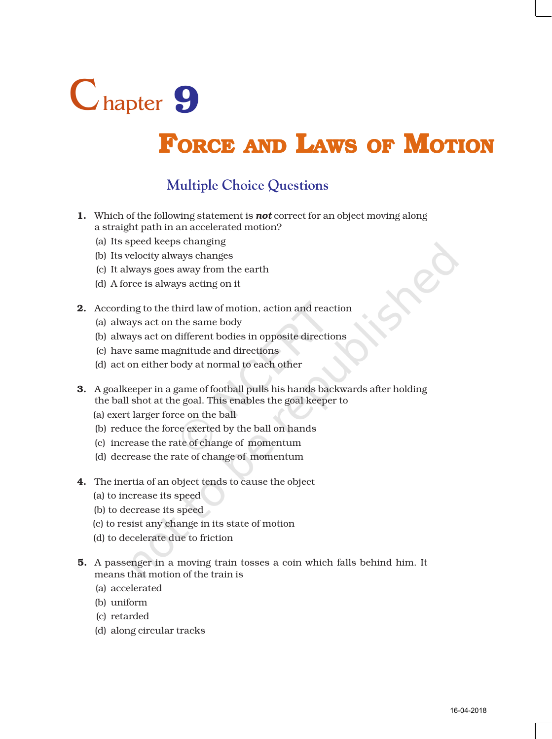

# **FORCE AND LAWS OF MOTION**

### **Multiple Choice Questions**

- 1. Which of the following statement is *not* correct for an object moving along a straight path in an accelerated motion?
	- (a) Its speed keeps changing
	- (b) Its velocity always changes
	- (c) It always goes away from the earth
	- (d) A force is always acting on it
- 2. According to the third law of motion, action and reaction
	- (a) always act on the same body
	- (b) always act on different bodies in opposite directions
	- (c) have same magnitude and directions
	- (d) act on either body at normal to each other
- 3. A goalkeeper in a game of football pulls his hands backwards after holding the ball shot at the goal. This enables the goal keeper to
	- (a) exert larger force on the ball
	- (b) reduce the force exerted by the ball on hands
	- (c) increase the rate of change of momentum
	- (d) decrease the rate of change of momentum
- 4. The inertia of an object tends to cause the object
	- (a) to increase its speed
	- (b) to decrease its speed
	- (c) to resist any change in its state of motion
	- (d) to decelerate due to friction
- 5. A passenger in a moving train tosses a coin which falls behind him. It means that motion of the train is
	- (a) accelerated
	- (b) uniform
	- (c) retarded
	- (d) along circular tracks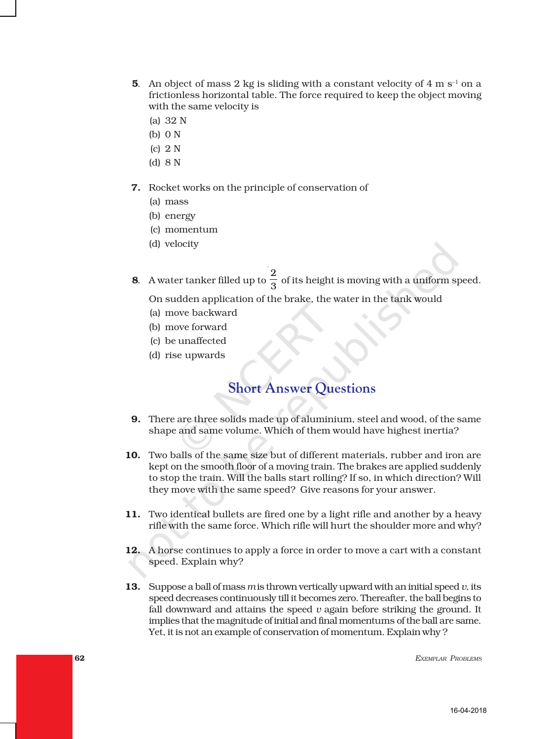- **5.** An object of mass 2 kg is sliding with a constant velocity of 4 m  $s^{-1}$  on a frictionless horizontal table. The force required to keep the object moving with the same velocity is
	- (a) 32 N
	- (b) 0 N
	- (c) 2 N
	- (d) 8 N

#### 7. Rocket works on the principle of conservation of

- (a) mass
- (b) energy
- (c) momentum
- (d) velocity
- **8**. A water tanker filled up to  $\frac{2}{2}$  $\frac{1}{3}$  of its height is moving with a uniform speed.

On sudden application of the brake, the water in the tank would

- (a) move backward
- (b) move forward
- (c) be unaffected
- (d) rise upwards

## **Short Answer Questions**

- 9. There are three solids made up of aluminium, steel and wood, of the same shape and same volume. Which of them would have highest inertia?
- 10. Two balls of the same size but of different materials, rubber and iron are kept on the smooth floor of a moving train. The brakes are applied suddenly to stop the train. Will the balls start rolling? If so, in which direction? Will they move with the same speed? Give reasons for your answer.
- 11. Two identical bullets are fired one by a light rifle and another by a heavy rifle with the same force. Which rifle will hurt the shoulder more and why?
- 12. A horse continues to apply a force in order to move a cart with a constant speed. Explain why?
- 13. Suppose a ball of mass *m* is thrown vertically upward with an initial speed *v,* its speed decreases continuously till it becomes zero. Thereafter, the ball begins to fall downward and attains the speed *v* again before striking the ground. It implies that the magnitude of initial and final momentums of the ball are same. Yet, it is not an example of conservation of momentum. Explain why ?

62 *EXEMPLAR PROBLEMS*